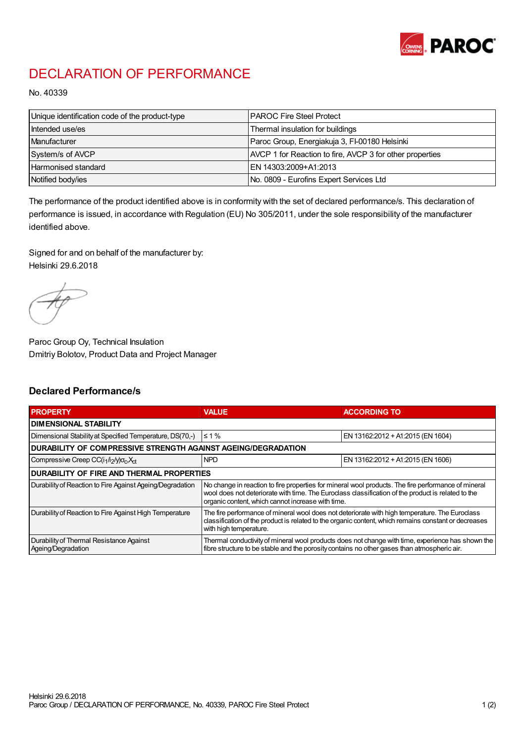

## DECLARATION OF PERFORMANCE

No. 40339

| Unique identification code of the product-type | <b>IPAROC Fire Steel Protect</b>                         |
|------------------------------------------------|----------------------------------------------------------|
| Intended use/es                                | Thermal insulation for buildings                         |
| Manufacturer                                   | Paroc Group, Energiakuja 3, FI-00180 Helsinki            |
| System/s of AVCP                               | AVCP 1 for Reaction to fire, AVCP 3 for other properties |
| Harmonised standard                            | IEN 14303:2009+A1:2013                                   |
| Notified body/ies                              | No. 0809 - Eurofins Expert Services Ltd                  |

The performance of the product identified above is in conformity with the set of declared performance/s. This declaration of performance is issued, in accordance with Regulation (EU) No 305/2011, under the sole responsibility of the manufacturer identified above.

Signed for and on behalf of the manufacturer by: Helsinki 29.6.2018

Paroc Group Oy, Technical Insulation Dmitriy Bolotov, Product Data and Project Manager

## Declared Performance/s

| <b>PROPERTY</b>                                                                         | <b>VALUE</b>                                                                                                                                                                                                                                                   | <b>ACCORDING TO</b>               |  |
|-----------------------------------------------------------------------------------------|----------------------------------------------------------------------------------------------------------------------------------------------------------------------------------------------------------------------------------------------------------------|-----------------------------------|--|
| DIMENSIONAL STABILITY                                                                   |                                                                                                                                                                                                                                                                |                                   |  |
| Dimensional Stability at Specified Temperature, DS(70,-)                                | $\leq 1\%$                                                                                                                                                                                                                                                     | EN 13162:2012 + A1:2015 (EN 1604) |  |
| DURABILITY OF COMPRESSIVE STRENGTH AGAINST AGEING/DEGRADATION                           |                                                                                                                                                                                                                                                                |                                   |  |
| Compressive Creep CC(i <sub>1</sub> /i <sub>2</sub> /y)o <sub>c</sub> , X <sub>ct</sub> | <b>NPD</b>                                                                                                                                                                                                                                                     | EN 13162:2012 + A1:2015 (EN 1606) |  |
| <b>DURABILITY OF FIRE AND THERMAL PROPERTIES</b>                                        |                                                                                                                                                                                                                                                                |                                   |  |
| Durability of Reaction to Fire Against Ageing/Degradation                               | No change in reaction to fire properties for mineral wool products. The fire performance of mineral<br>wool does not deteriorate with time. The Euroclass classification of the product is related to the<br>organic content, which cannot increase with time. |                                   |  |
| Durability of Reaction to Fire Against High Temperature                                 | The fire performance of mineral wool does not deteriorate with high temperature. The Euroclass<br>classification of the product is related to the organic content, which remains constant or decreases<br>with high temperature.                               |                                   |  |
| Durability of Thermal Resistance Against<br>Ageing/Degradation                          | Thermal conductivity of mineral wool products does not change with time, experience has shown the<br>fibre structure to be stable and the porosity contains no other gases than atmospheric air.                                                               |                                   |  |